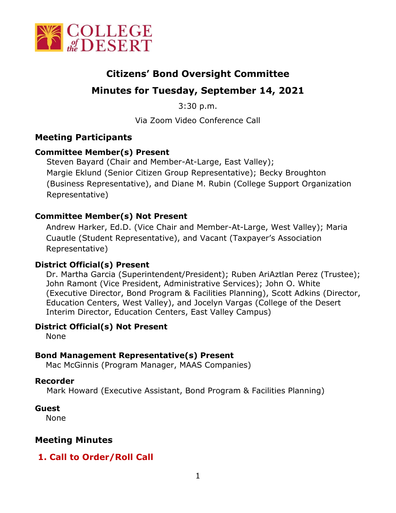

# **Citizens' Bond Oversight Committee**

# **Minutes for Tuesday, September 14, 2021**

3:30 p.m.

Via Zoom Video Conference Call

## **Meeting Participants**

### **Committee Member(s) Present**

Steven Bayard (Chair and Member-At-Large, East Valley); Margie Eklund (Senior Citizen Group Representative); Becky Broughton (Business Representative), and Diane M. Rubin (College Support Organization Representative)

#### **Committee Member(s) Not Present**

Andrew Harker, Ed.D. (Vice Chair and Member-At-Large, West Valley); Maria Cuautle (Student Representative), and Vacant (Taxpayer's Association Representative)

#### **District Official(s) Present**

Dr. Martha Garcia (Superintendent/President); Ruben AriAztlan Perez (Trustee); John Ramont (Vice President, Administrative Services); John O. White (Executive Director, Bond Program & Facilities Planning), Scott Adkins (Director, Education Centers, West Valley), and Jocelyn Vargas (College of the Desert Interim Director, Education Centers, East Valley Campus)

#### **District Official(s) Not Present**

None

#### **Bond Management Representative(s) Present**

Mac McGinnis (Program Manager, MAAS Companies)

#### **Recorder**

Mark Howard (Executive Assistant, Bond Program & Facilities Planning)

#### **Guest**

None

## **Meeting Minutes**

## **1. Call to Order/Roll Call**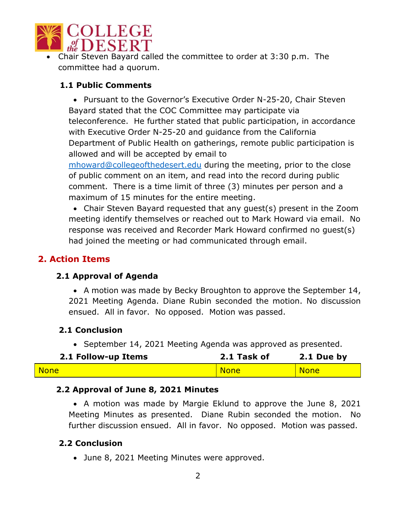

• Chair Steven Bayard called the committee to order at 3:30 p.m. The committee had a quorum.

### **1.1 Public Comments**

• Pursuant to the Governor's Executive Order N-25-20, Chair Steven Bayard stated that the COC Committee may participate via teleconference. He further stated that public participation, in accordance with Executive Order N-25-20 and guidance from the California Department of Public Health on gatherings, remote public participation is allowed and will be accepted by email to

[mhoward@collegeofthedesert.edu](mailto:mhoward@collegeofthedesert.edu) during the meeting, prior to the close of public comment on an item, and read into the record during public comment. There is a time limit of three (3) minutes per person and a maximum of 15 minutes for the entire meeting.

• Chair Steven Bayard requested that any guest(s) present in the Zoom meeting identify themselves or reached out to Mark Howard via email. No response was received and Recorder Mark Howard confirmed no guest(s) had joined the meeting or had communicated through email.

## **2. Action Items**

#### **2.1 Approval of Agenda**

• A motion was made by Becky Broughton to approve the September 14, 2021 Meeting Agenda. Diane Rubin seconded the motion. No discussion ensued. All in favor. No opposed. Motion was passed.

#### **2.1 Conclusion**

• September 14, 2021 Meeting Agenda was approved as presented.

| 2.1 Follow-up Items | 2.1 Task of | 2.1 Due by  |
|---------------------|-------------|-------------|
| <b>None</b>         | <b>None</b> | <b>None</b> |

## **2.2 Approval of June 8, 2021 Minutes**

• A motion was made by Margie Eklund to approve the June 8, 2021 Meeting Minutes as presented. Diane Rubin seconded the motion. No further discussion ensued. All in favor. No opposed. Motion was passed.

## **2.2 Conclusion**

• June 8, 2021 Meeting Minutes were approved.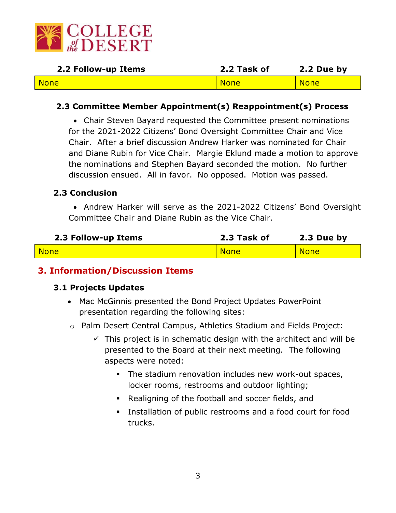

| 2.2 Follow-up Items | 2.2 Task of | 2.2 Due by  |
|---------------------|-------------|-------------|
| <b>None</b>         | <b>None</b> | <b>None</b> |

#### **2.3 Committee Member Appointment(s) Reappointment(s) Process**

• Chair Steven Bayard requested the Committee present nominations for the 2021-2022 Citizens' Bond Oversight Committee Chair and Vice Chair. After a brief discussion Andrew Harker was nominated for Chair and Diane Rubin for Vice Chair. Margie Eklund made a motion to approve the nominations and Stephen Bayard seconded the motion. No further discussion ensued. All in favor. No opposed. Motion was passed.

#### **2.3 Conclusion**

• Andrew Harker will serve as the 2021-2022 Citizens' Bond Oversight Committee Chair and Diane Rubin as the Vice Chair.

| 2.3 Follow-up Items | 2.3 Task of | 2.3 Due by  |
|---------------------|-------------|-------------|
| <b>None</b>         | <b>None</b> | <b>None</b> |

#### **3. Information/Discussion Items**

#### **3.1 Projects Updates**

- Mac McGinnis presented the Bond Project Updates PowerPoint presentation regarding the following sites:
- o Palm Desert Central Campus, Athletics Stadium and Fields Project:
	- $\checkmark$  This project is in schematic design with the architect and will be presented to the Board at their next meeting. The following aspects were noted:
		- The stadium renovation includes new work-out spaces, locker rooms, restrooms and outdoor lighting;
		- Realigning of the football and soccer fields, and
		- **EXECT** Installation of public restrooms and a food court for food trucks.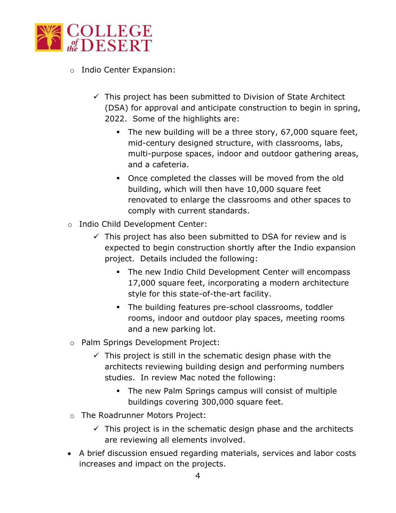

- o Indio Center Expansion:
	- $\checkmark$  This project has been submitted to Division of State Architect (DSA) for approval and anticipate construction to begin in spring, 2022. Some of the highlights are:
		- The new building will be a three story, 67,000 square feet, mid-century designed structure, with classrooms, labs, multi-purpose spaces, indoor and outdoor gathering areas, and a cafeteria.
		- Once completed the classes will be moved from the old building, which will then have 10,000 square feet renovated to enlarge the classrooms and other spaces to comply with current standards.
- o Indio Child Development Center:
	- $\checkmark$  This project has also been submitted to DSA for review and is expected to begin construction shortly after the Indio expansion project. Details included the following:
		- **The new Indio Child Development Center will encompass** 17,000 square feet, incorporating a modern architecture style for this state-of-the-art facility.
		- The building features pre-school classrooms, toddler rooms, indoor and outdoor play spaces, meeting rooms and a new parking lot.
- o Palm Springs Development Project:
	- $\checkmark$  This project is still in the schematic design phase with the architects reviewing building design and performing numbers studies. In review Mac noted the following:
		- The new Palm Springs campus will consist of multiple buildings covering 300,000 square feet.
- o The Roadrunner Motors Project:
	- $\checkmark$  This project is in the schematic design phase and the architects are reviewing all elements involved.
- A brief discussion ensued regarding materials, services and labor costs increases and impact on the projects.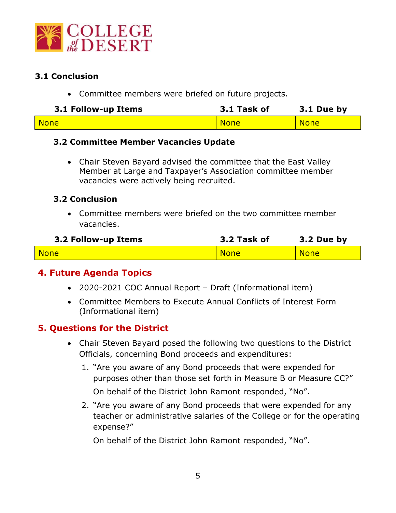

#### **3.1 Conclusion**

• Committee members were briefed on future projects.

| 3.1 Follow-up Items | 3.1 Task of | 3.1 Due by  |
|---------------------|-------------|-------------|
| <b>None</b>         | <b>None</b> | <b>None</b> |

#### **3.2 Committee Member Vacancies Update**

• Chair Steven Bayard advised the committee that the East Valley Member at Large and Taxpayer's Association committee member vacancies were actively being recruited.

#### **3.2 Conclusion**

• Committee members were briefed on the two committee member vacancies.

| 3.2 Follow-up Items | 3.2 Task of | 3.2 Due by  |
|---------------------|-------------|-------------|
| <b>None</b>         | <b>None</b> | <b>None</b> |

## **4. Future Agenda Topics**

- 2020-2021 COC Annual Report Draft (Informational item)
- Committee Members to Execute Annual Conflicts of Interest Form (Informational item)

## **5. Questions for the District**

- Chair Steven Bayard posed the following two questions to the District Officials, concerning Bond proceeds and expenditures:
	- 1. "Are you aware of any Bond proceeds that were expended for purposes other than those set forth in Measure B or Measure CC?" On behalf of the District John Ramont responded, "No".
	- 2. "Are you aware of any Bond proceeds that were expended for any teacher or administrative salaries of the College or for the operating expense?"

On behalf of the District John Ramont responded, "No".